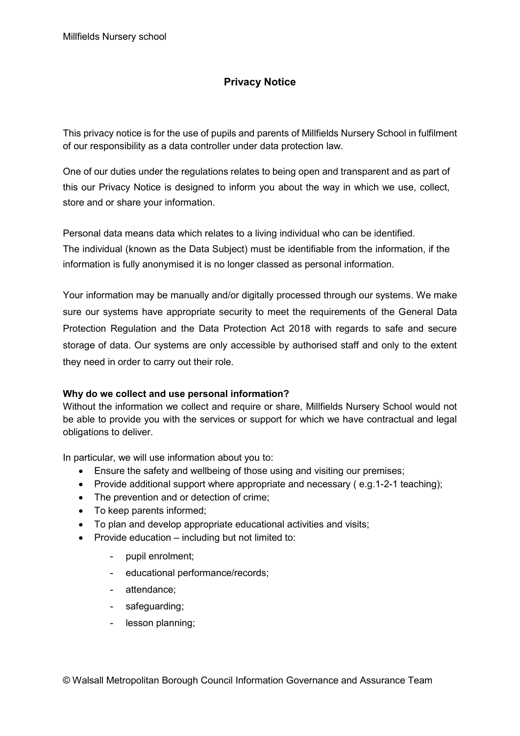# **Privacy Notice**

This privacy notice is for the use of pupils and parents of Millfields Nursery School in fulfilment of our responsibility as a data controller under data protection law.

One of our duties under the regulations relates to being open and transparent and as part of this our Privacy Notice is designed to inform you about the way in which we use, collect, store and or share your information.

Personal data means data which relates to a living individual who can be identified. The individual (known as the Data Subject) must be identifiable from the information, if the information is fully anonymised it is no longer classed as personal information.

Your information may be manually and/or digitally processed through our systems. We make sure our systems have appropriate security to meet the requirements of the General Data Protection Regulation and the Data Protection Act 2018 with regards to safe and secure storage of data. Our systems are only accessible by authorised staff and only to the extent they need in order to carry out their role.

## **Why do we collect and use personal information?**

Without the information we collect and require or share, Millfields Nursery School would not be able to provide you with the services or support for which we have contractual and legal obligations to deliver.

In particular, we will use information about you to:

- Ensure the safety and wellbeing of those using and visiting our premises;
- Provide additional support where appropriate and necessary (e.g.1-2-1 teaching);
- The prevention and or detection of crime;
- To keep parents informed;
- To plan and develop appropriate educational activities and visits;
- Provide education including but not limited to:
	- pupil enrolment;
	- educational performance/records;
	- attendance;
	- safeguarding;
	- lesson planning;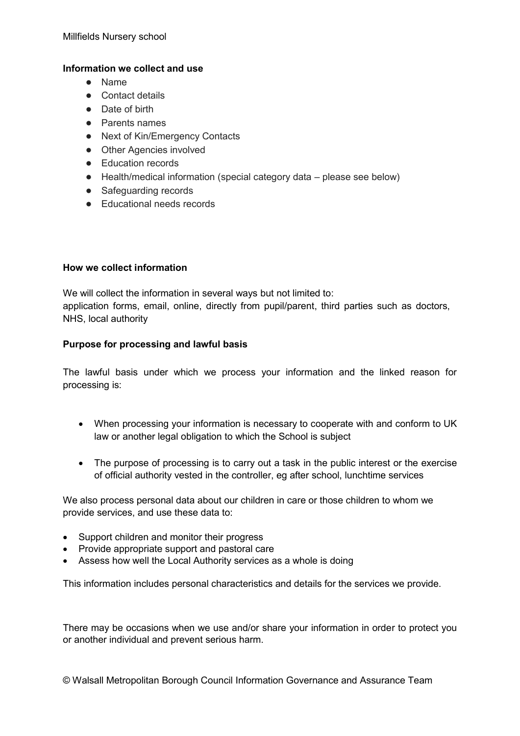### **Information we collect and use**

- Name
- Contact details
- Date of birth
- Parents names
- Next of Kin/Emergency Contacts
- Other Agencies involved
- Education records
- Health/medical information (special category data please see below)
- Safequarding records
- Educational needs records

### **How we collect information**

We will collect the information in several ways but not limited to: application forms, email, online, directly from pupil/parent, third parties such as doctors, NHS, local authority

### **Purpose for processing and lawful basis**

The lawful basis under which we process your information and the linked reason for processing is:

- When processing your information is necessary to cooperate with and conform to UK law or another legal obligation to which the School is subject
- The purpose of processing is to carry out a task in the public interest or the exercise of official authority vested in the controller, eg after school, lunchtime services

We also process personal data about our children in care or those children to whom we provide services, and use these data to:

- Support children and monitor their progress
- Provide appropriate support and pastoral care
- Assess how well the Local Authority services as a whole is doing

This information includes personal characteristics and details for the services we provide.

There may be occasions when we use and/or share your information in order to protect you or another individual and prevent serious harm.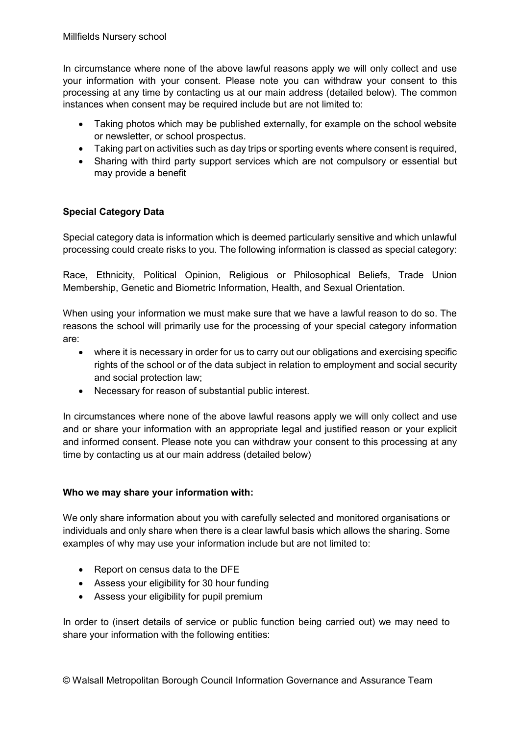In circumstance where none of the above lawful reasons apply we will only collect and use your information with your consent. Please note you can withdraw your consent to this processing at any time by contacting us at our main address (detailed below). The common instances when consent may be required include but are not limited to:

- Taking photos which may be published externally, for example on the school website or newsletter, or school prospectus.
- Taking part on activities such as day trips or sporting events where consent is required,
- Sharing with third party support services which are not compulsory or essential but may provide a benefit

# **Special Category Data**

Special category data is information which is deemed particularly sensitive and which unlawful processing could create risks to you. The following information is classed as special category:

Race, Ethnicity, Political Opinion, Religious or Philosophical Beliefs, Trade Union Membership, Genetic and Biometric Information, Health, and Sexual Orientation.

When using your information we must make sure that we have a lawful reason to do so. The reasons the school will primarily use for the processing of your special category information are:

- where it is necessary in order for us to carry out our obligations and exercising specific rights of the school or of the data subject in relation to employment and social security and social protection law;
- Necessary for reason of substantial public interest.

In circumstances where none of the above lawful reasons apply we will only collect and use and or share your information with an appropriate legal and justified reason or your explicit and informed consent. Please note you can withdraw your consent to this processing at any time by contacting us at our main address (detailed below)

## **Who we may share your information with:**

We only share information about you with carefully selected and monitored organisations or individuals and only share when there is a clear lawful basis which allows the sharing. Some examples of why may use your information include but are not limited to:

- Report on census data to the DFE
- Assess your eligibility for 30 hour funding
- Assess your eligibility for pupil premium

In order to (insert details of service or public function being carried out) we may need to share your information with the following entities: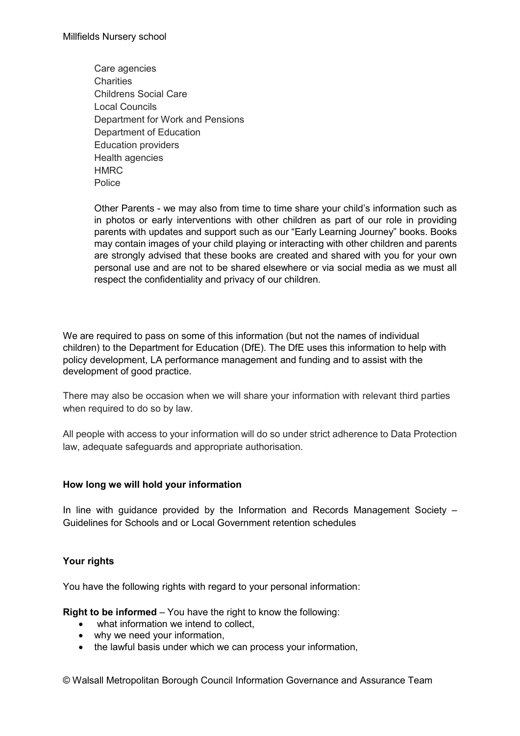Care agencies **Charities** Childrens Social Care Local Councils Department for Work and Pensions Department of Education Education providers Health agencies **HMRC Police** 

Other Parents - we may also from time to time share your child's information such as in photos or early interventions with other children as part of our role in providing parents with updates and support such as our "Early Learning Journey" books. Books may contain images of your child playing or interacting with other children and parents are strongly advised that these books are created and shared with you for your own personal use and are not to be shared elsewhere or via social media as we must all respect the confidentiality and privacy of our children.

We are required to pass on some of this information (but not the names of individual children) to the Department for Education (DfE). The DfE uses this information to help with policy development, LA performance management and funding and to assist with the development of good practice.

There may also be occasion when we will share your information with relevant third parties when required to do so by law.

All people with access to your information will do so under strict adherence to Data Protection law, adequate safeguards and appropriate authorisation.

#### **How long we will hold your information**

In line with guidance provided by the Information and Records Management Society – Guidelines for Schools and or Local Government retention schedules

## **Your rights**

You have the following rights with regard to your personal information:

**Right to be informed** – You have the right to know the following:

- what information we intend to collect,
- why we need your information,
- the lawful basis under which we can process your information,

© Walsall Metropolitan Borough Council Information Governance and Assurance Team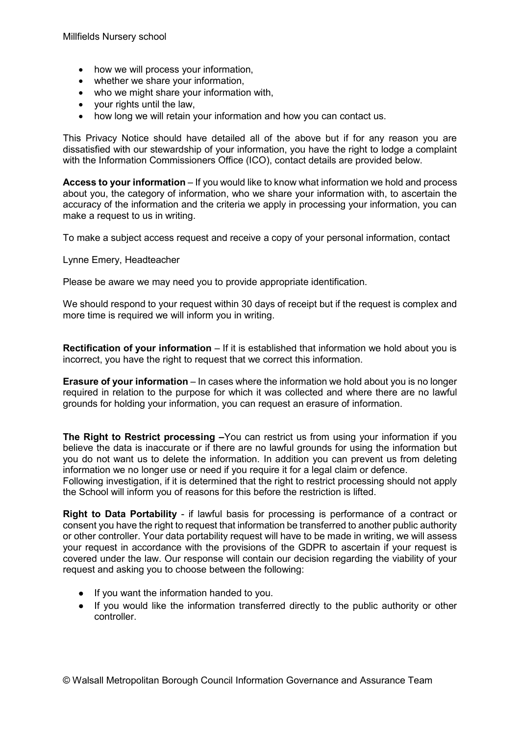- how we will process your information,
- whether we share your information,
- who we might share your information with.
- your rights until the law,
- how long we will retain your information and how you can contact us.

This Privacy Notice should have detailed all of the above but if for any reason you are dissatisfied with our stewardship of your information, you have the right to lodge a complaint with the Information Commissioners Office (ICO), contact details are provided below.

**Access to your information** – If you would like to know what information we hold and process about you, the category of information, who we share your information with, to ascertain the accuracy of the information and the criteria we apply in processing your information, you can make a request to us in writing.

To make a subject access request and receive a copy of your personal information, contact

Lynne Emery, Headteacher

Please be aware we may need you to provide appropriate identification.

We should respond to your request within 30 days of receipt but if the request is complex and more time is required we will inform you in writing.

**Rectification of your information** – If it is established that information we hold about you is incorrect, you have the right to request that we correct this information.

**Erasure of your information** – In cases where the information we hold about you is no longer required in relation to the purpose for which it was collected and where there are no lawful grounds for holding your information, you can request an erasure of information.

**The Right to Restrict processing –**You can restrict us from using your information if you believe the data is inaccurate or if there are no lawful grounds for using the information but you do not want us to delete the information. In addition you can prevent us from deleting information we no longer use or need if you require it for a legal claim or defence.

Following investigation, if it is determined that the right to restrict processing should not apply the School will inform you of reasons for this before the restriction is lifted.

**Right to Data Portability** - if lawful basis for processing is performance of a contract or consent you have the right to request that information be transferred to another public authority or other controller. Your data portability request will have to be made in writing, we will assess your request in accordance with the provisions of the GDPR to ascertain if your request is covered under the law. Our response will contain our decision regarding the viability of your request and asking you to choose between the following:

- If you want the information handed to you.
- If you would like the information transferred directly to the public authority or other controller.